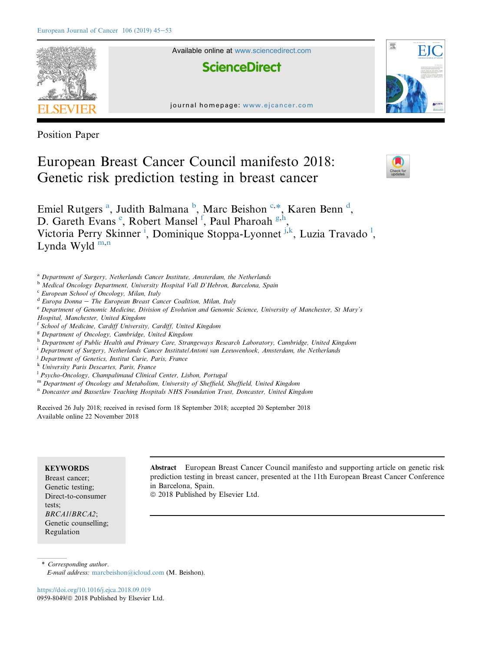

Position Paper

# European Breast Cancer Council manifesto 2018: Genetic risk prediction testing in breast cancer



Emiel Rutgers<sup>a</sup>, Judith Balmana<sup>b</sup>, Marc Beishon<sup>c,\*</sup>, Karen Benn<sup>d</sup>, D. Gareth Evans<sup>e</sup>, Robert Mansel<sup>f</sup>, Paul Pharoah<sup>g,h</sup>, Victoria Perry Skinner<sup>i</sup>, Dominique Stoppa-Lyonnet<sup>j,k</sup>, Luzia Travado<sup>1</sup>, Lynda Wyld $^{\rm m,n}$ 

- <sup>a</sup> Department of Surgery, Netherlands Cancer Institute, Amsterdam, the Netherlands
- <sup>b</sup> Medical Oncology Department, University Hospital Vall D'Hebron, Barcelona, Spain
- <sup>c</sup> European School of Oncology, Milan, Italy
- $d$  Europa Donna The European Breast Cancer Coalition, Milan, Italy
- <sup>e</sup> Department of Genomic Medicine, Division of Evolution and Genomic Science, University of Manchester, St Mary's Hospital, Manchester, United Kingdom
- <sup>f</sup> School of Medicine, Cardiff University, Cardiff, United Kingdom
- <sup>g</sup> Department of Oncology, Cambridge, United Kingdom
- h Department of Public Health and Primary Care, Strangeways Research Laboratory, Cambridge, United Kingdom
- <sup>i</sup> Department of Surgery, Netherlands Cancer Institute/Antoni van Leeuwenhoek, Amsterdam, the Netherlands
- <sup>j</sup> Department of Genetics, Institut Curie, Paris, France
- <sup>k</sup> University Paris Descartes, Paris, France
- <sup>1</sup> Psycho-Oncology, Champalimaud Clinical Center, Lisbon, Portugal
- m Department of Oncology and Metabolism, University of Sheffield, Sheffield, United Kingdom
- <sup>n</sup> Doncaster and Bassetlaw Teaching Hospitals NHS Foundation Trust, Doncaster, United Kingdom

Received 26 July 2018; received in revised form 18 September 2018; accepted 20 September 2018 Available online 22 November 2018

## **KEYWORDS**

Breast cancer; Genetic testing; Direct-to-consumer tests; BRCA1/BRCA2; Genetic counselling; Regulation

Abstract European Breast Cancer Council manifesto and supporting article on genetic risk prediction testing in breast cancer, presented at the 11th European Breast Cancer Conference in Barcelona, Spain.

 $© 2018$  Published by Elsevier Ltd.

\* Corresponding author.

<https://doi.org/10.1016/j.ejca.2018.09.019> 0959-8049/© 2018 Published by Elsevier Ltd.

E-mail address: [marcbeishon@icloud.com](mailto:marcbeishon@icloud.com) (M. Beishon).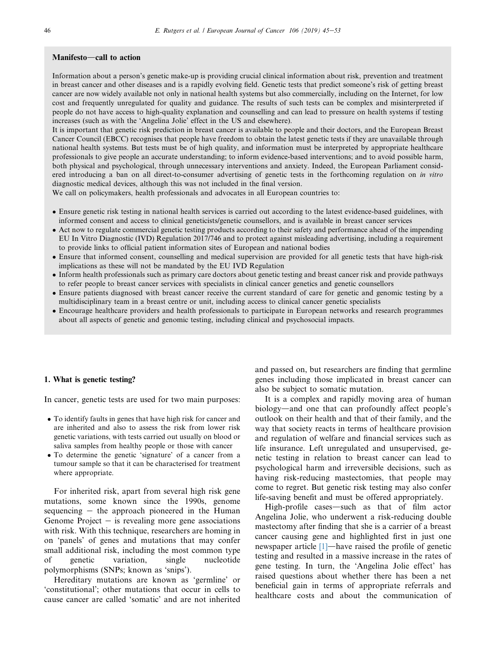### Manifesto-call to action

Information about a person's genetic make-up is providing crucial clinical information about risk, prevention and treatment in breast cancer and other diseases and is a rapidly evolving field. Genetic tests that predict someone's risk of getting breast cancer are now widely available not only in national health systems but also commercially, including on the Internet, for low cost and frequently unregulated for quality and guidance. The results of such tests can be complex and misinterpreted if people do not have access to high-quality explanation and counselling and can lead to pressure on health systems if testing increases (such as with the 'Angelina Jolie' effect in the US and elsewhere).

It is important that genetic risk prediction in breast cancer is available to people and their doctors, and the European Breast Cancer Council (EBCC) recognises that people have freedom to obtain the latest genetic tests if they are unavailable through national health systems. But tests must be of high quality, and information must be interpreted by appropriate healthcare professionals to give people an accurate understanding; to inform evidence-based interventions; and to avoid possible harm, both physical and psychological, through unnecessary interventions and anxiety. Indeed, the European Parliament considered introducing a ban on all direct-to-consumer advertising of genetic tests in the forthcoming regulation on in vitro diagnostic medical devices, although this was not included in the final version.

We call on policymakers, health professionals and advocates in all European countries to:

- Ensure genetic risk testing in national health services is carried out according to the latest evidence-based guidelines, with informed consent and access to clinical geneticists/genetic counsellors, and is available in breast cancer services
- Act now to regulate commercial genetic testing products according to their safety and performance ahead of the impending EU In Vitro Diagnostic (IVD) Regulation 2017/746 and to protect against misleading advertising, including a requirement to provide links to official patient information sites of European and national bodies
- Ensure that informed consent, counselling and medical supervision are provided for all genetic tests that have high-risk implications as these will not be mandated by the EU IVD Regulation
- Inform health professionals such as primary care doctors about genetic testing and breast cancer risk and provide pathways to refer people to breast cancer services with specialists in clinical cancer genetics and genetic counsellors
- Ensure patients diagnosed with breast cancer receive the current standard of care for genetic and genomic testing by a multidisciplinary team in a breast centre or unit, including access to clinical cancer genetic specialists
- Encourage healthcare providers and health professionals to participate in European networks and research programmes about all aspects of genetic and genomic testing, including clinical and psychosocial impacts.

#### 1. What is genetic testing?

In cancer, genetic tests are used for two main purposes:

- To identify faults in genes that have high risk for cancer and are inherited and also to assess the risk from lower risk genetic variations, with tests carried out usually on blood or saliva samples from healthy people or those with cancer
- To determine the genetic 'signature' of a cancer from a tumour sample so that it can be characterised for treatment where appropriate.

For inherited risk, apart from several high risk gene mutations, some known since the 1990s, genome sequencing  $-$  the approach pioneered in the Human Genome Project  $-$  is revealing more gene associations with risk. With this technique, researchers are homing in on 'panels' of genes and mutations that may confer small additional risk, including the most common type of genetic variation, single nucleotide polymorphisms (SNPs; known as 'snips').

Hereditary mutations are known as 'germline' or 'constitutional'; other mutations that occur in cells to cause cancer are called 'somatic' and are not inherited and passed on, but researchers are finding that germline genes including those implicated in breast cancer can also be subject to somatic mutation.

It is a complex and rapidly moving area of human biology—and one that can profoundly affect people's outlook on their health and that of their family, and the way that society reacts in terms of healthcare provision and regulation of welfare and financial services such as life insurance. Left unregulated and unsupervised, genetic testing in relation to breast cancer can lead to psychological harm and irreversible decisions, such as having risk-reducing mastectomies, that people may come to regret. But genetic risk testing may also confer life-saving benefit and must be offered appropriately.

High-profile cases—such as that of film actor Angelina Jolie, who underwent a risk-reducing double mastectomy after finding that she is a carrier of a breast cancer causing gene and highlighted first in just one newspaper article  $[1]$ —have raised the profile of genetic testing and resulted in a massive increase in the rates of gene testing. In turn, the 'Angelina Jolie effect' has raised questions about whether there has been a net beneficial gain in terms of appropriate referrals and healthcare costs and about the communication of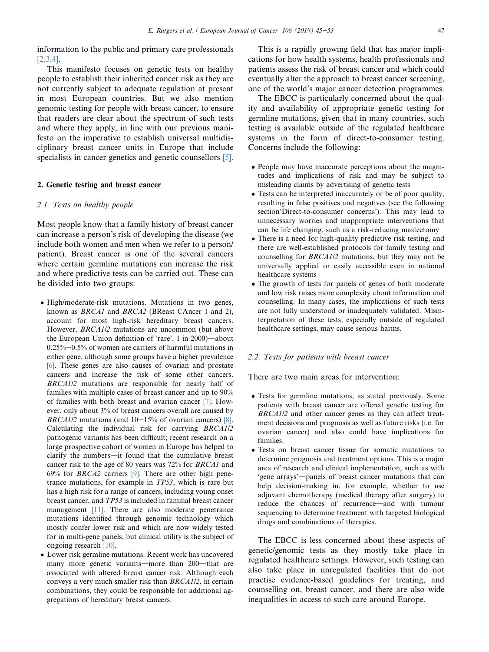information to the public and primary care professionals [\[2,3,4\]](#page-7-0).

This manifesto focuses on genetic tests on healthy people to establish their inherited cancer risk as they are not currently subject to adequate regulation at present in most European countries. But we also mention genomic testing for people with breast cancer, to ensure that readers are clear about the spectrum of such tests and where they apply, in line with our previous manifesto on the imperative to establish universal multidisciplinary breast cancer units in Europe that include specialists in cancer genetics and genetic counsellors [\[5\].](#page-7-0)

## 2. Genetic testing and breast cancer

## 2.1. Tests on healthy people

Most people know that a family history of breast cancer can increase a person's risk of developing the disease (we include both women and men when we refer to a person/ patient). Breast cancer is one of the several cancers where certain germline mutations can increase the risk and where predictive tests can be carried out. These can be divided into two groups:

- High/moderate-risk mutations. Mutations in two genes, known as BRCA1 and BRCA2 (BReast CAncer 1 and 2), account for most high-risk hereditary breast cancers. However, BRCA1/2 mutations are uncommon (but above the European Union definition of 'rare',  $1$  in 2000)—about  $0.25\%$  -0.5% of women are carriers of harmful mutations in either gene, although some groups have a higher prevalence [\[6\]](#page-7-0). These genes are also causes of ovarian and prostate cancers and increase the risk of some other cancers. BRCA1/2 mutations are responsible for nearly half of families with multiple cases of breast cancer and up to 90% of families with both breast and ovarian cancer [\[7\].](#page-7-0) However, only about 3% of breast cancers overall are caused by BRCA1/2 mutations (and  $10-15%$  of ovarian cancers) [\[8\]](#page-7-0). Calculating the individual risk for carrying BRCA1/2 pathogenic variants has been difficult; recent research on a large prospective cohort of women in Europe has helped to clarify the numbers—it found that the cumulative breast cancer risk to the age of 80 years was 72% for BRCA1 and  $69\%$  for *BRCA2* carriers [\[9\]](#page-7-0). There are other high penetrance mutations, for example in TP53, which is rare but has a high risk for a range of cancers, including young onset breast cancer, and TP53 is included in familial breast cancer management [\[11\].](#page-7-0) There are also moderate penetrance mutations identified through genomic technology which mostly confer lower risk and which are now widely tested for in multi-gene panels, but clinical utility is the subject of ongoing research [\[10\].](#page-7-0)
- Lower risk germline mutations. Recent work has uncovered many more genetic variants—more than 200—that are associated with altered breast cancer risk. Although each conveys a very much smaller risk than BRCA1/2, in certain combinations, they could be responsible for additional aggregations of hereditary breast cancers.

This is a rapidly growing field that has major implications for how health systems, health professionals and patients assess the risk of breast cancer and which could eventually alter the approach to breast cancer screening, one of the world's major cancer detection programmes.

The EBCC is particularly concerned about the quality and availability of appropriate genetic testing for germline mutations, given that in many countries, such testing is available outside of the regulated healthcare systems in the form of direct-to-consumer testing. Concerns include the following:

- People may have inaccurate perceptions about the magnitudes and implications of risk and may be subject to misleading claims by advertising of genetic tests
- Tests can be interpreted inaccurately or be of poor quality, resulting in false positives and negatives (see the following section'Direct-to-consumer concerns'). This may lead to unnecessary worries and inappropriate interventions that can be life changing, such as a risk-reducing mastectomy
- There is a need for high-quality predictive risk testing, and there are well-established protocols for family testing and counselling for BRCA1/2 mutations, but they may not be universally applied or easily accessible even in national healthcare systems
- The growth of tests for panels of genes of both moderate and low risk raises more complexity about information and counselling. In many cases, the implications of such tests are not fully understood or inadequately validated. Misinterpretation of these tests, especially outside of regulated healthcare settings, may cause serious harms.

## 2.2. Tests for patients with breast cancer

There are two main areas for intervention:

- Tests for germline mutations, as stated previously. Some patients with breast cancer are offered genetic testing for BRCA1/2 and other cancer genes as they can affect treatment decisions and prognosis as well as future risks (i.e. for ovarian cancer) and also could have implications for families.
- Tests on breast cancer tissue for somatic mutations to determine prognosis and treatment options. This is a major area of research and clinical implementation, such as with 'gene arrays'-panels of breast cancer mutations that can help decision-making in, for example, whether to use adjuvant chemotherapy (medical therapy after surgery) to reduce the chances of recurrence—and with tumour sequencing to determine treatment with targeted biological drugs and combinations of therapies.

The EBCC is less concerned about these aspects of genetic/genomic tests as they mostly take place in regulated healthcare settings. However, such testing can also take place in unregulated facilities that do not practise evidence-based guidelines for treating, and counselling on, breast cancer, and there are also wide inequalities in access to such care around Europe.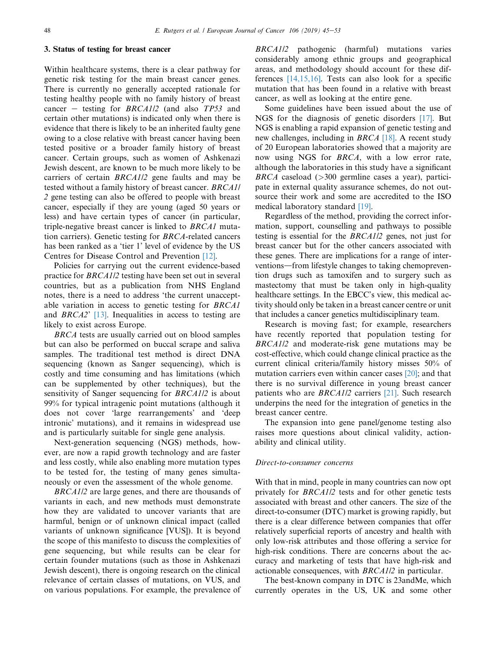## 3. Status of testing for breast cancer

Within healthcare systems, there is a clear pathway for genetic risk testing for the main breast cancer genes. There is currently no generally accepted rationale for testing healthy people with no family history of breast cancer – testing for  $BRCA1/2$  (and also TP53 and certain other mutations) is indicated only when there is evidence that there is likely to be an inherited faulty gene owing to a close relative with breast cancer having been tested positive or a broader family history of breast cancer. Certain groups, such as women of Ashkenazi Jewish descent, are known to be much more likely to be carriers of certain BRCA1/2 gene faults and may be tested without a family history of breast cancer. BRCA1/ 2 gene testing can also be offered to people with breast cancer, especially if they are young (aged 50 years or less) and have certain types of cancer (in particular, triple-negative breast cancer is linked to BRCA1 mutation carriers). Genetic testing for BRCA-related cancers has been ranked as a 'tier 1' level of evidence by the US Centres for Disease Control and Prevention [\[12\]](#page-7-0).

Policies for carrying out the current evidence-based practice for BRCA1/2 testing have been set out in several countries, but as a publication from NHS England notes, there is a need to address 'the current unacceptable variation in access to genetic testing for BRCA1 and BRCA2' [\[13\].](#page-7-0) Inequalities in access to testing are likely to exist across Europe.

BRCA tests are usually carried out on blood samples but can also be performed on buccal scrape and saliva samples. The traditional test method is direct DNA sequencing (known as Sanger sequencing), which is costly and time consuming and has limitations (which can be supplemented by other techniques), but the sensitivity of Sanger sequencing for BRCA1/2 is about 99% for typical intragenic point mutations (although it does not cover 'large rearrangements' and 'deep intronic' mutations), and it remains in widespread use and is particularly suitable for single gene analysis.

Next-generation sequencing (NGS) methods, however, are now a rapid growth technology and are faster and less costly, while also enabling more mutation types to be tested for, the testing of many genes simultaneously or even the assessment of the whole genome.

BRCA1/2 are large genes, and there are thousands of variants in each, and new methods must demonstrate how they are validated to uncover variants that are harmful, benign or of unknown clinical impact (called variants of unknown significance [VUS]). It is beyond the scope of this manifesto to discuss the complexities of gene sequencing, but while results can be clear for certain founder mutations (such as those in Ashkenazi Jewish descent), there is ongoing research on the clinical relevance of certain classes of mutations, on VUS, and on various populations. For example, the prevalence of

BRCA1/2 pathogenic (harmful) mutations varies considerably among ethnic groups and geographical areas, and methodology should account for these differences [\[14,15,16\].](#page-7-0) Tests can also look for a specific mutation that has been found in a relative with breast cancer, as well as looking at the entire gene.

Some guidelines have been issued about the use of NGS for the diagnosis of genetic disorders [\[17\].](#page-7-0) But NGS is enabling a rapid expansion of genetic testing and new challenges, including in BRCA [\[18\]](#page-7-0). A recent study of 20 European laboratories showed that a majority are now using NGS for BRCA, with a low error rate, although the laboratories in this study have a significant  $BRCA$  caseload ( $>300$  germline cases a year), participate in external quality assurance schemes, do not outsource their work and some are accredited to the ISO medical laboratory standard [\[19\].](#page-7-0)

Regardless of the method, providing the correct information, support, counselling and pathways to possible testing is essential for the BRCA1/2 genes, not just for breast cancer but for the other cancers associated with these genes. There are implications for a range of interventions—from lifestyle changes to taking chemoprevention drugs such as tamoxifen and to surgery such as mastectomy that must be taken only in high-quality healthcare settings. In the EBCC's view, this medical activity should only be taken in a breast cancer centre or unit that includes a cancer genetics multidisciplinary team.

Research is moving fast; for example, researchers have recently reported that population testing for BRCA1/2 and moderate-risk gene mutations may be cost-effective, which could change clinical practice as the current clinical criteria/family history misses 50% of mutation carriers even within cancer cases [\[20\];](#page-7-0) and that there is no survival difference in young breast cancer patients who are BRCA1/2 carriers [\[21\]](#page-8-0). Such research underpins the need for the integration of genetics in the breast cancer centre.

The expansion into gene panel/genome testing also raises more questions about clinical validity, actionability and clinical utility.

## Direct-to-consumer concerns

With that in mind, people in many countries can now opt privately for BRCA1/2 tests and for other genetic tests associated with breast and other cancers. The size of the direct-to-consumer (DTC) market is growing rapidly, but there is a clear difference between companies that offer relatively superficial reports of ancestry and health with only low-risk attributes and those offering a service for high-risk conditions. There are concerns about the accuracy and marketing of tests that have high-risk and actionable consequences, with BRCA1/2 in particular.

The best-known company in DTC is 23andMe, which currently operates in the US, UK and some other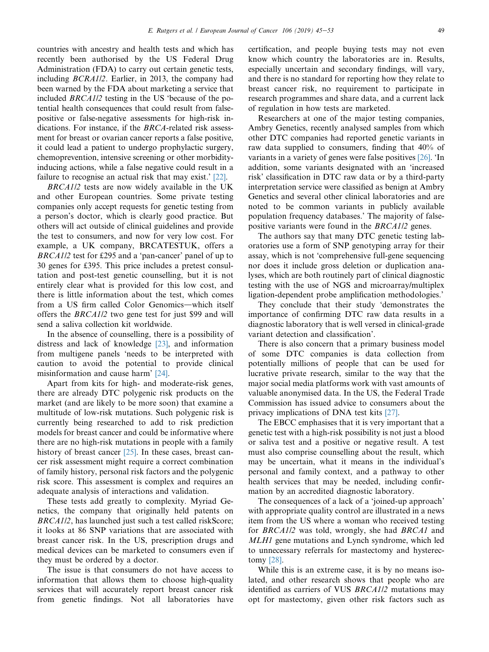countries with ancestry and health tests and which has recently been authorised by the US Federal Drug Administration (FDA) to carry out certain genetic tests, including BCRA1/2. Earlier, in 2013, the company had been warned by the FDA about marketing a service that included BRCA1/2 testing in the US 'because of the potential health consequences that could result from falsepositive or false-negative assessments for high-risk indications. For instance, if the BRCA-related risk assessment for breast or ovarian cancer reports a false positive, it could lead a patient to undergo prophylactic surgery, chemoprevention, intensive screening or other morbidityinducing actions, while a false negative could result in a failure to recognise an actual risk that may exist.' [\[22\].](#page-8-0)

BRCA1/2 tests are now widely available in the UK and other European countries. Some private testing companies only accept requests for genetic testing from a person's doctor, which is clearly good practice. But others will act outside of clinical guidelines and provide the test to consumers, and now for very low cost. For example, a UK company, BRCATESTUK, offers a BRCA1/2 test for £295 and a 'pan-cancer' panel of up to 30 genes for £395. This price includes a pretest consultation and post-test genetic counselling, but it is not entirely clear what is provided for this low cost, and there is little information about the test, which comes from a US firm called Color Genomics-which itself offers the BRCA1/2 two gene test for just \$99 and will send a saliva collection kit worldwide.

In the absence of counselling, there is a possibility of distress and lack of knowledge [\[23\],](#page-8-0) and information from multigene panels 'needs to be interpreted with caution to avoid the potential to provide clinical misinformation and cause harm' [\[24\]](#page-8-0).

Apart from kits for high- and moderate-risk genes, there are already DTC polygenic risk products on the market (and are likely to be more soon) that examine a multitude of low-risk mutations. Such polygenic risk is currently being researched to add to risk prediction models for breast cancer and could be informative where there are no high-risk mutations in people with a family history of breast cancer [\[25\]](#page-8-0). In these cases, breast cancer risk assessment might require a correct combination of family history, personal risk factors and the polygenic risk score. This assessment is complex and requires an adequate analysis of interactions and validation.

These tests add greatly to complexity. Myriad Genetics, the company that originally held patents on BRCA1/2, has launched just such a test called riskScore; it looks at 86 SNP variations that are associated with breast cancer risk. In the US, prescription drugs and medical devices can be marketed to consumers even if they must be ordered by a doctor.

The issue is that consumers do not have access to information that allows them to choose high-quality services that will accurately report breast cancer risk from genetic findings. Not all laboratories have certification, and people buying tests may not even know which country the laboratories are in. Results, especially uncertain and secondary findings, will vary, and there is no standard for reporting how they relate to breast cancer risk, no requirement to participate in research programmes and share data, and a current lack of regulation in how tests are marketed.

Researchers at one of the major testing companies, Ambry Genetics, recently analysed samples from which other DTC companies had reported genetic variants in raw data supplied to consumers, finding that 40% of variants in a variety of genes were false positives [\[26\]](#page-8-0). 'In addition, some variants designated with an 'increased risk' classification in DTC raw data or by a third-party interpretation service were classified as benign at Ambry Genetics and several other clinical laboratories and are noted to be common variants in publicly available population frequency databases.' The majority of falsepositive variants were found in the BRCA1/2 genes.

The authors say that many DTC genetic testing laboratories use a form of SNP genotyping array for their assay, which is not 'comprehensive full-gene sequencing nor does it include gross deletion or duplication analyses, which are both routinely part of clinical diagnostic testing with the use of NGS and microarray/multiplex ligation-dependent probe amplification methodologies.'

They conclude that their study 'demonstrates the importance of confirming DTC raw data results in a diagnostic laboratory that is well versed in clinical-grade variant detection and classification'.

There is also concern that a primary business model of some DTC companies is data collection from potentially millions of people that can be used for lucrative private research, similar to the way that the major social media platforms work with vast amounts of valuable anonymised data. In the US, the Federal Trade Commission has issued advice to consumers about the privacy implications of DNA test kits [\[27\]](#page-8-0).

The EBCC emphasises that it is very important that a genetic test with a high-risk possibility is not just a blood or saliva test and a positive or negative result. A test must also comprise counselling about the result, which may be uncertain, what it means in the individual's personal and family context, and a pathway to other health services that may be needed, including confirmation by an accredited diagnostic laboratory.

The consequences of a lack of a 'joined-up approach' with appropriate quality control are illustrated in a news item from the US where a woman who received testing for BRCA1/2 was told, wrongly, she had BRCA1 and MLH1 gene mutations and Lynch syndrome, which led to unnecessary referrals for mastectomy and hysterectomy [\[28\]](#page-8-0).

While this is an extreme case, it is by no means isolated, and other research shows that people who are identified as carriers of VUS BRCA1/2 mutations may opt for mastectomy, given other risk factors such as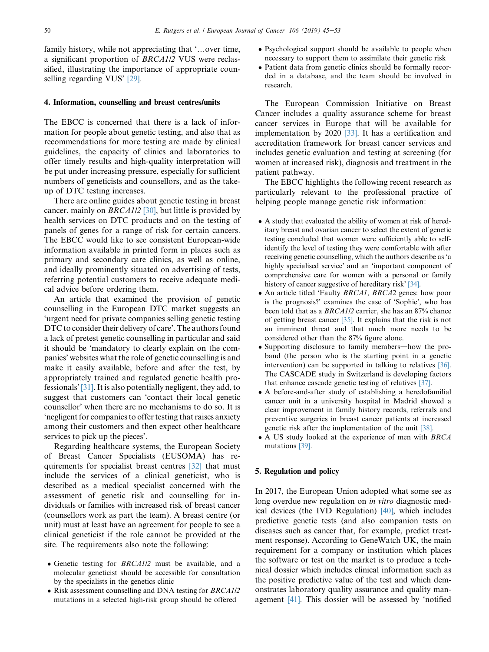family history, while not appreciating that '...over time, a significant proportion of BRCA1/2 VUS were reclassified, illustrating the importance of appropriate counselling regarding VUS' [\[29\]](#page-8-0).

## 4. Information, counselling and breast centres/units

The EBCC is concerned that there is a lack of information for people about genetic testing, and also that as recommendations for more testing are made by clinical guidelines, the capacity of clinics and laboratories to offer timely results and high-quality interpretation will be put under increasing pressure, especially for sufficient numbers of geneticists and counsellors, and as the takeup of DTC testing increases.

There are online guides about genetic testing in breast cancer, mainly on BRCA1/2 [\[30\],](#page-8-0) but little is provided by health services on DTC products and on the testing of panels of genes for a range of risk for certain cancers. The EBCC would like to see consistent European-wide information available in printed form in places such as primary and secondary care clinics, as well as online, and ideally prominently situated on advertising of tests, referring potential customers to receive adequate medical advice before ordering them.

An article that examined the provision of genetic counselling in the European DTC market suggests an 'urgent need for private companies selling genetic testing DTC to consider their delivery of care'. The authors found a lack of pretest genetic counselling in particular and said it should be 'mandatory to clearly explain on the companies' websites what the role of genetic counselling is and make it easily available, before and after the test, by appropriately trained and regulated genetic health professionals' [\[31\].](#page-8-0) It is also potentially negligent, they add, to suggest that customers can 'contact their local genetic counsellor' when there are no mechanisms to do so. It is 'negligent for companies to offer testing that raises anxiety among their customers and then expect other healthcare services to pick up the pieces'.

Regarding healthcare systems, the European Society of Breast Cancer Specialists (EUSOMA) has requirements for specialist breast centres [\[32\]](#page-8-0) that must include the services of a clinical geneticist, who is described as a medical specialist concerned with the assessment of genetic risk and counselling for individuals or families with increased risk of breast cancer (counsellors work as part the team). A breast centre (or unit) must at least have an agreement for people to see a clinical geneticist if the role cannot be provided at the site. The requirements also note the following:

- Genetic testing for BRCA1/2 must be available, and a molecular geneticist should be accessible for consultation by the specialists in the genetics clinic
- Risk assessment counselling and DNA testing for *BRCA1/2* mutations in a selected high-risk group should be offered
- Psychological support should be available to people when necessary to support them to assimilate their genetic risk
- Patient data from genetic clinics should be formally recorded in a database, and the team should be involved in research.

The European Commission Initiative on Breast Cancer includes a quality assurance scheme for breast cancer services in Europe that will be available for implementation by 2020 [\[33\]](#page-8-0). It has a certification and accreditation framework for breast cancer services and includes genetic evaluation and testing at screening (for women at increased risk), diagnosis and treatment in the patient pathway.

The EBCC highlights the following recent research as particularly relevant to the professional practice of helping people manage genetic risk information:

- A study that evaluated the ability of women at risk of hereditary breast and ovarian cancer to select the extent of genetic testing concluded that women were sufficiently able to selfidentify the level of testing they were comfortable with after receiving genetic counselling, which the authors describe as 'a highly specialised service' and an 'important component of comprehensive care for women with a personal or family history of cancer suggestive of hereditary risk' [\[34\].](#page-8-0)
- An article titled 'Faulty *BRCA1*, *BRCA2* genes: how poor is the prognosis?' examines the case of 'Sophie', who has been told that as a BRCA1/2 carrier, she has an 87% chance of getting breast cancer [\[35\].](#page-8-0) It explains that the risk is not an imminent threat and that much more needs to be considered other than the 87% figure alone.
- Supporting disclosure to family members—how the proband (the person who is the starting point in a genetic intervention) can be supported in talking to relatives [\[36\]](#page-8-0). The CASCADE study in Switzerland is developing factors that enhance cascade genetic testing of relatives [\[37\]](#page-8-0).
- A before-and-after study of establishing a heredofamilial cancer unit in a university hospital in Madrid showed a clear improvement in family history records, referrals and preventive surgeries in breast cancer patients at increased genetic risk after the implementation of the unit [\[38\]](#page-8-0).
- A US study looked at the experience of men with BRCA mutations [\[39\].](#page-8-0)

## 5. Regulation and policy

In 2017, the European Union adopted what some see as long overdue new regulation on in vitro diagnostic medical devices (the IVD Regulation) [\[40\],](#page-8-0) which includes predictive genetic tests (and also companion tests on diseases such as cancer that, for example, predict treatment response). According to GeneWatch UK, the main requirement for a company or institution which places the software or test on the market is to produce a technical dossier which includes clinical information such as the positive predictive value of the test and which demonstrates laboratory quality assurance and quality management [\[41\]](#page-8-0). This dossier will be assessed by 'notified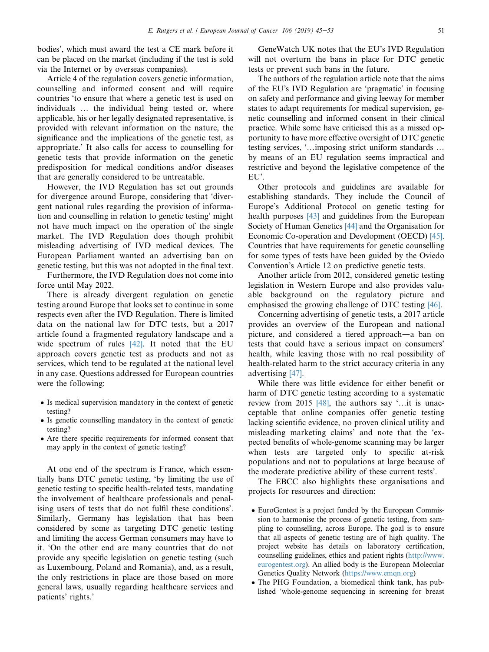bodies', which must award the test a CE mark before it can be placed on the market (including if the test is sold via the Internet or by overseas companies).

Article 4 of the regulation covers genetic information, counselling and informed consent and will require countries 'to ensure that where a genetic test is used on individuals ... the individual being tested or, where applicable, his or her legally designated representative, is provided with relevant information on the nature, the significance and the implications of the genetic test, as appropriate.' It also calls for access to counselling for genetic tests that provide information on the genetic predisposition for medical conditions and/or diseases that are generally considered to be untreatable.

However, the IVD Regulation has set out grounds for divergence around Europe, considering that 'divergent national rules regarding the provision of information and counselling in relation to genetic testing' might not have much impact on the operation of the single market. The IVD Regulation does though prohibit misleading advertising of IVD medical devices. The European Parliament wanted an advertising ban on genetic testing, but this was not adopted in the final text.

Furthermore, the IVD Regulation does not come into force until May 2022.

There is already divergent regulation on genetic testing around Europe that looks set to continue in some respects even after the IVD Regulation. There is limited data on the national law for DTC tests, but a 2017 article found a fragmented regulatory landscape and a wide spectrum of rules  $[42]$ . It noted that the EU approach covers genetic test as products and not as services, which tend to be regulated at the national level in any case. Questions addressed for European countries were the following:

- Is medical supervision mandatory in the context of genetic testing?
- Is genetic counselling mandatory in the context of genetic testing?
- Are there specific requirements for informed consent that may apply in the context of genetic testing?

At one end of the spectrum is France, which essentially bans DTC genetic testing, 'by limiting the use of genetic testing to specific health-related tests, mandating the involvement of healthcare professionals and penalising users of tests that do not fulfil these conditions'. Similarly, Germany has legislation that has been considered by some as targeting DTC genetic testing and limiting the access German consumers may have to it. 'On the other end are many countries that do not provide any specific legislation on genetic testing (such as Luxembourg, Poland and Romania), and, as a result, the only restrictions in place are those based on more general laws, usually regarding healthcare services and patients' rights.'

GeneWatch UK notes that the EU's IVD Regulation will not overturn the bans in place for DTC genetic tests or prevent such bans in the future.

The authors of the regulation article note that the aims of the EU's IVD Regulation are 'pragmatic' in focusing on safety and performance and giving leeway for member states to adapt requirements for medical supervision, genetic counselling and informed consent in their clinical practice. While some have criticised this as a missed opportunity to have more effective oversight of DTC genetic testing services, '... imposing strict uniform standards ... by means of an EU regulation seems impractical and restrictive and beyond the legislative competence of the EU'.

Other protocols and guidelines are available for establishing standards. They include the Council of Europe's Additional Protocol on genetic testing for health purposes [\[43\]](#page-8-0) and guidelines from the European Society of Human Genetics [\[44\]](#page-8-0) and the Organisation for Economic Co-operation and Development (OECD) [\[45\].](#page-8-0) Countries that have requirements for genetic counselling for some types of tests have been guided by the Oviedo Convention's Article 12 on predictive genetic tests.

Another article from 2012, considered genetic testing legislation in Western Europe and also provides valuable background on the regulatory picture and emphasised the growing challenge of DTC testing [\[46\]](#page-8-0).

Concerning advertising of genetic tests, a 2017 article provides an overview of the European and national picture, and considered a tiered approach—a ban on tests that could have a serious impact on consumers' health, while leaving those with no real possibility of health-related harm to the strict accuracy criteria in any advertising [\[47\].](#page-8-0)

While there was little evidence for either benefit or harm of DTC genetic testing according to a systematic review from 2015  $[48]$ , the authors say '... it is unacceptable that online companies offer genetic testing lacking scientific evidence, no proven clinical utility and misleading marketing claims' and note that the 'expected benefits of whole-genome scanning may be larger when tests are targeted only to specific at-risk populations and not to populations at large because of the moderate predictive ability of these current tests'.

The EBCC also highlights these organisations and projects for resources and direction:

- EuroGentest is a project funded by the European Commission to harmonise the process of genetic testing, from sampling to counselling, across Europe. The goal is to ensure that all aspects of genetic testing are of high quality. The project website has details on laboratory certification, counselling guidelines, ethics and patient rights [\(http://www.](http://www.eurogentest.org) [eurogentest.org](http://www.eurogentest.org)). An allied body is the European Molecular Genetics Quality Network [\(https://www.emqn.org](https://www.emqn.org))
- The PHG Foundation, a biomedical think tank, has published 'whole-genome sequencing in screening for breast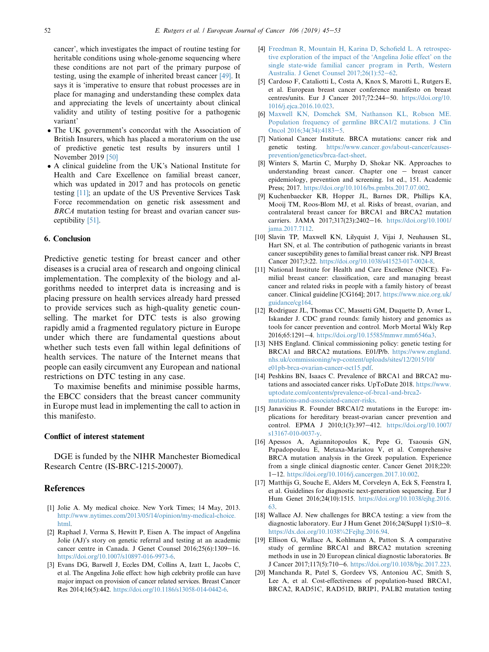<span id="page-7-0"></span>cancer', which investigates the impact of routine testing for heritable conditions using whole-genome sequencing where these conditions are not part of the primary purpose of testing, using the example of inherited breast cancer [\[49\]](#page-8-0). It says it is 'imperative to ensure that robust processes are in place for managing and understanding these complex data and appreciating the levels of uncertainty about clinical validity and utility of testing positive for a pathogenic variant'

- The UK government's concordat with the Association of British Insurers, which has placed a moratorium on the use of predictive genetic test results by insurers until 1 November 2019 [\[50\]](#page-8-0)
- A clinical guideline from the UK's National Institute for Health and Care Excellence on familial breast cancer, which was updated in 2017 and has protocols on genetic testing [11]; an update of the US Preventive Services Task Force recommendation on genetic risk assessment and BRCA mutation testing for breast and ovarian cancer susceptibility [\[51\]](#page-8-0).

#### 6. Conclusion

Predictive genetic testing for breast cancer and other diseases is a crucial area of research and ongoing clinical implementation. The complexity of the biology and algorithms needed to interpret data is increasing and is placing pressure on health services already hard pressed to provide services such as high-quality genetic counselling. The market for DTC tests is also growing rapidly amid a fragmented regulatory picture in Europe under which there are fundamental questions about whether such tests even fall within legal definitions of health services. The nature of the Internet means that people can easily circumvent any European and national restrictions on DTC testing in any case.

To maximise benefits and minimise possible harms, the EBCC considers that the breast cancer community in Europe must lead in implementing the call to action in this manifesto.

## Conflict of interest statement

DGE is funded by the NIHR Manchester Biomedical Research Centre (IS-BRC-1215-20007).

## References

- [1] Jolie A. My medical choice. New York Times; 14 May, 2013. [http://www.nytimes.com/2013/05/14/opinion/my-medical-choice.](http://www.nytimes.com/2013/05/14/opinion/my-medical-choice.html) [html.](http://www.nytimes.com/2013/05/14/opinion/my-medical-choice.html)
- [2] Raphael J, Verma S, Hewitt P, Eisen A. The impact of Angelina Jolie (AJ)'s story on genetic referral and testing at an academic cancer centre in Canada. J Genet Counsel  $2016;25(6):1309-16$ . <https://doi.org/10.1007/s10897-016-9973-6>.
- [3] Evans DG, Barwell J, Eccles DM, Collins A, Izatt L, Jacobs C, et al. The Angelina Jolie effect: how high celebrity profile can have major impact on provision of cancer related services. Breast Cancer Res 2014;16(5):442. <https://doi.org/10.1186/s13058-014-0442-6>.
- [4] [Freedman R, Mountain H, Karina D, Schofield L. A retrospec](http://refhub.elsevier.com/S0959-8049(18)31389-3/sref4)[tive exploration of the impact of the 'Angelina Jolie effect' on the](http://refhub.elsevier.com/S0959-8049(18)31389-3/sref4) [single state-wide familial cancer program in Perth, Western](http://refhub.elsevier.com/S0959-8049(18)31389-3/sref4) [Australia. J Genet Counsel 2017;26\(1\):52](http://refhub.elsevier.com/S0959-8049(18)31389-3/sref4)-[62](http://refhub.elsevier.com/S0959-8049(18)31389-3/sref4).
- [5] Cardoso F, Cataliotti L, Costa A, Knox S, Marotti L, Rutgers E, et al. European breast cancer conference manifesto on breast centres/units. Eur J Cancer 2017;72:244-50. [https://doi.org/10.](https://doi.org/10.1016/j.ejca.2016.10.023) [1016/j.ejca.2016.10.023.](https://doi.org/10.1016/j.ejca.2016.10.023)
- [6] [Maxwell KN, Domchek SM, Nathanson KL, Robson ME.](http://refhub.elsevier.com/S0959-8049(18)31389-3/sref6) [Population frequency of germline BRCA1/2 mutations. J Clin](http://refhub.elsevier.com/S0959-8049(18)31389-3/sref6) [Oncol 2016;34\(34\):4183](http://refhub.elsevier.com/S0959-8049(18)31389-3/sref6)-[5](http://refhub.elsevier.com/S0959-8049(18)31389-3/sref6).
- [7] National Cancer Institute. BRCA mutations: cancer risk and genetic testing. [https://www.cancer.gov/about-cancer/causes](https://www.cancer.gov/about-cancer/causes-prevention/genetics/brca-fact-sheet)[prevention/genetics/brca-fact-sheet.](https://www.cancer.gov/about-cancer/causes-prevention/genetics/brca-fact-sheet)
- [8] Winters S, Martin C, Murphy D, Shokar NK. Approaches to understanding breast cancer. Chapter one  $-$  breast cancer epidemiology, prevention and screening. 1st ed., 151. Academic Press; 2017. [https://doi.org/10.1016/bs.pmbts.2017.07.002.](https://doi.org/10.1016/bs.pmbts.2017.07.002)
- [9] Kuchenbaecker KB, Hopper JL, Barnes DR, Phillips KA, Mooij TM, Roos-Blom MJ, et al. Risks of breast, ovarian, and contralateral breast cancer for BRCA1 and BRCA2 mutation carriers. JAMA 2017;317(23):2402-16. [https://doi.org/10.1001/](https://doi.org/10.1001/jama.2017.7112) [jama.2017.7112.](https://doi.org/10.1001/jama.2017.7112)
- [10] Slavin TP, Maxwell KN, Lilyquist J, Vijai J, Neuhausen SL, Hart SN, et al. The contribution of pathogenic variants in breast cancer susceptibility genes to familial breast cancer risk. NPJ Breast Cancer 2017;3:22. [https://doi.org/10.1038/s41523-017-0024-8.](https://doi.org/10.1038/s41523-017-0024-8)
- [11] National Institute for Health and Care Excellence (NICE). Familial breast cancer: classification, care and managing breast cancer and related risks in people with a family history of breast cancer. Clinical guideline [CG164]; 2017. [https://www.nice.org.uk/](https://www.nice.org.uk/guidance/cg164) [guidance/cg164.](https://www.nice.org.uk/guidance/cg164)
- [12] Rodriguez JL, Thomas CC, Massetti GM, Duquette D, Avner L, Iskander J. CDC grand rounds: family history and genomics as tools for cancer prevention and control. Morb Mortal Wkly Rep 2016;65:1291-4. <https://doi.org/10.15585/mmwr.mm6546a3>.
- [13] NHS England. Clinical commissioning policy: genetic testing for BRCA1 and BRCA2 mutations. E01/P/b. [https://www.england.](https://www.england.nhs.uk/commissioning/wp-content/uploads/sites/12/2015/10/e01pb-brca-ovarian-cancer-oct15.pdf) [nhs.uk/commissioning/wp-content/uploads/sites/12/2015/10/](https://www.england.nhs.uk/commissioning/wp-content/uploads/sites/12/2015/10/e01pb-brca-ovarian-cancer-oct15.pdf) [e01pb-brca-ovarian-cancer-oct15.pdf.](https://www.england.nhs.uk/commissioning/wp-content/uploads/sites/12/2015/10/e01pb-brca-ovarian-cancer-oct15.pdf)
- [14] Peshkins BN, Isaacs C. Prevalence of BRCA1 and BRCA2 mutations and associated cancer risks. UpToDate 2018. [https://www.](https://www.uptodate.com/contents/prevalence-of-brca1-and-brca2-mutations-and-associated-cancer-risks) [uptodate.com/contents/prevalence-of-brca1-and-brca2](https://www.uptodate.com/contents/prevalence-of-brca1-and-brca2-mutations-and-associated-cancer-risks) [mutations-and-associated-cancer-risks.](https://www.uptodate.com/contents/prevalence-of-brca1-and-brca2-mutations-and-associated-cancer-risks)
- [15] Janavičius R. Founder BRCA1/2 mutations in the Europe: implications for hereditary breast-ovarian cancer prevention and control. EPMA J 2010;1(3):397-412. [https://doi.org/10.1007/](https://doi.org/10.1007/s13167-010-0037-y) [s13167-010-0037-y.](https://doi.org/10.1007/s13167-010-0037-y)
- [16] Apessos A, Agiannitopoulos K, Pepe G, Tsaousis GN, Papadopoulou E, Metaxa-Mariatou V, et al. Comprehensive BRCA mutation analysis in the Greek population. Experience from a single clinical diagnostic center. Cancer Genet 2018;220: 1e12. [https://doi.org/10.1016/j.cancergen.2017.10.002.](https://doi.org/10.1016/j.cancergen.2017.10.002)
- [17] Matthijs G, Souche E, Alders M, Corveleyn A, Eck S, Feenstra I, et al. Guidelines for diagnostic next-generation sequencing. Eur J Hum Genet 2016;24(10):1515. [https://doi.org/10.1038/ejhg.2016.](https://doi.org/10.1038/ejhg.2016.63) [63.](https://doi.org/10.1038/ejhg.2016.63)
- [18] Wallace AJ. New challenges for BRCA testing: a view from the diagnostic laboratory. Eur J Hum Genet 2016;24(Suppl 1):S10-8. [https://dx.doi.org/10.1038%2Fejhg.2016.94](https://dx.doi.org/10.1038%252Fejhg.2016.94).
- [19] Ellison G, Wallace A, Kohlmann A, Patton S. A comparative study of germline BRCA1 and BRCA2 mutation screening methods in use in 20 European clinical diagnostic laboratories. Br J Cancer 2017;117(5):710-6. [https://doi.org/10.1038/bjc.2017.223.](https://doi.org/10.1038/bjc.2017.223)
- [20] Manchanda R, Patel S, Gordeev VS, Antoniou AC, Smith S, Lee A, et al. Cost-effectiveness of population-based BRCA1, BRCA2, RAD51C, RAD51D, BRIP1, PALB2 mutation testing